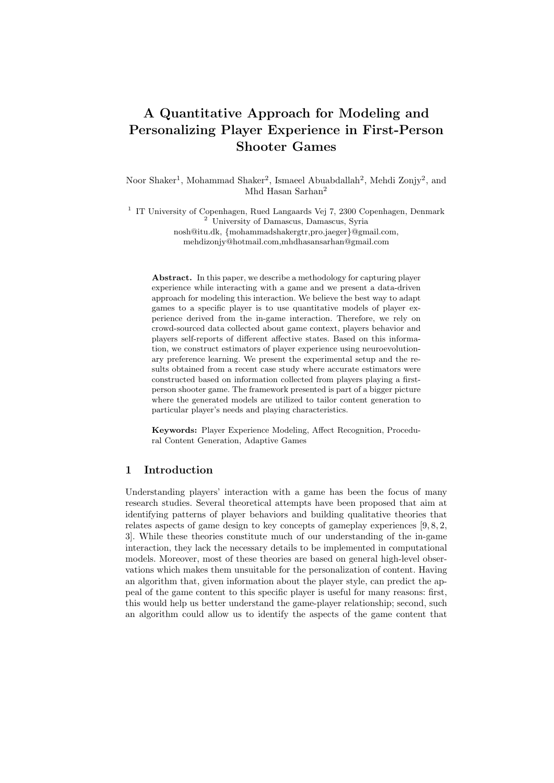# A Quantitative Approach for Modeling and Personalizing Player Experience in First-Person Shooter Games

Noor Shaker<sup>1</sup>, Mohammad Shaker<sup>2</sup>, Ismaeel Abuabdallah<sup>2</sup>, Mehdi Zonjy<sup>2</sup>, and Mhd Hasan Sarhan<sup>2</sup>

<sup>1</sup> IT University of Copenhagen, Rued Langaards Vej 7, 2300 Copenhagen, Denmark <sup>2</sup> University of Damascus, Damascus, Syria nosh@itu.dk, {mohammadshakergtr,pro.jaeger}@gmail.com, mehdizonjy@hotmail.com,mhdhasansarhan@gmail.com

Abstract. In this paper, we describe a methodology for capturing player experience while interacting with a game and we present a data-driven approach for modeling this interaction. We believe the best way to adapt games to a specific player is to use quantitative models of player experience derived from the in-game interaction. Therefore, we rely on crowd-sourced data collected about game context, players behavior and players self-reports of different affective states. Based on this information, we construct estimators of player experience using neuroevolutionary preference learning. We present the experimental setup and the results obtained from a recent case study where accurate estimators were constructed based on information collected from players playing a firstperson shooter game. The framework presented is part of a bigger picture where the generated models are utilized to tailor content generation to particular player's needs and playing characteristics.

Keywords: Player Experience Modeling, Affect Recognition, Procedural Content Generation, Adaptive Games

## 1 Introduction

Understanding players' interaction with a game has been the focus of many research studies. Several theoretical attempts have been proposed that aim at identifying patterns of player behaviors and building qualitative theories that relates aspects of game design to key concepts of gameplay experiences  $[9, 8, 2, 1]$ 3]. While these theories constitute much of our understanding of the in-game interaction, they lack the necessary details to be implemented in computational models. Moreover, most of these theories are based on general high-level observations which makes them unsuitable for the personalization of content. Having an algorithm that, given information about the player style, can predict the appeal of the game content to this specific player is useful for many reasons: first, this would help us better understand the game-player relationship; second, such an algorithm could allow us to identify the aspects of the game content that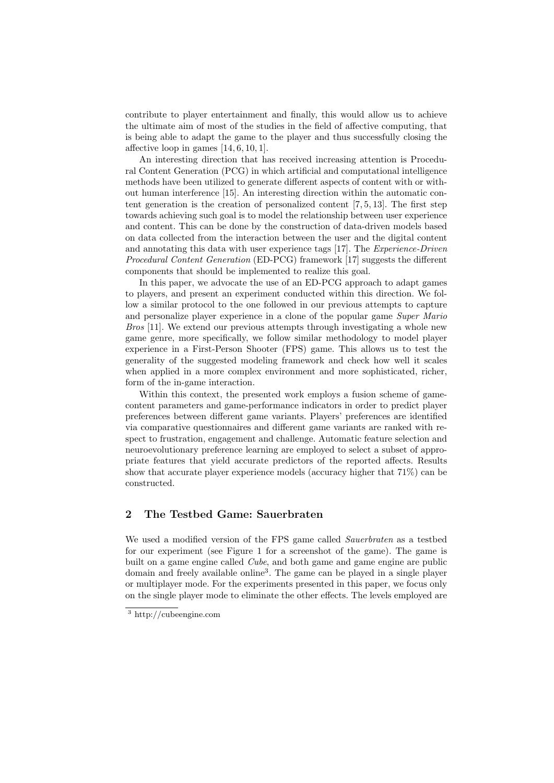contribute to player entertainment and finally, this would allow us to achieve the ultimate aim of most of the studies in the field of affective computing, that is being able to adapt the game to the player and thus successfully closing the affective loop in games  $[14, 6, 10, 1]$ .

An interesting direction that has received increasing attention is Procedural Content Generation (PCG) in which artificial and computational intelligence methods have been utilized to generate different aspects of content with or without human interference [15]. An interesting direction within the automatic content generation is the creation of personalized content  $[7, 5, 13]$ . The first step towards achieving such goal is to model the relationship between user experience and content. This can be done by the construction of data-driven models based on data collected from the interaction between the user and the digital content and annotating this data with user experience tags [17]. The Experience-Driven Procedural Content Generation (ED-PCG) framework [17] suggests the different components that should be implemented to realize this goal.

In this paper, we advocate the use of an ED-PCG approach to adapt games to players, and present an experiment conducted within this direction. We follow a similar protocol to the one followed in our previous attempts to capture and personalize player experience in a clone of the popular game Super Mario Bros [11]. We extend our previous attempts through investigating a whole new game genre, more specifically, we follow similar methodology to model player experience in a First-Person Shooter (FPS) game. This allows us to test the generality of the suggested modeling framework and check how well it scales when applied in a more complex environment and more sophisticated, richer, form of the in-game interaction.

Within this context, the presented work employs a fusion scheme of gamecontent parameters and game-performance indicators in order to predict player preferences between different game variants. Players' preferences are identified via comparative questionnaires and different game variants are ranked with respect to frustration, engagement and challenge. Automatic feature selection and neuroevolutionary preference learning are employed to select a subset of appropriate features that yield accurate predictors of the reported affects. Results show that accurate player experience models (accuracy higher that 71%) can be constructed.

# 2 The Testbed Game: Sauerbraten

We used a modified version of the FPS game called *Sauerbraten* as a testbed for our experiment (see Figure 1 for a screenshot of the game). The game is built on a game engine called Cube, and both game and game engine are public domain and freely available online<sup>3</sup> . The game can be played in a single player or multiplayer mode. For the experiments presented in this paper, we focus only on the single player mode to eliminate the other effects. The levels employed are

<sup>3</sup> http://cubeengine.com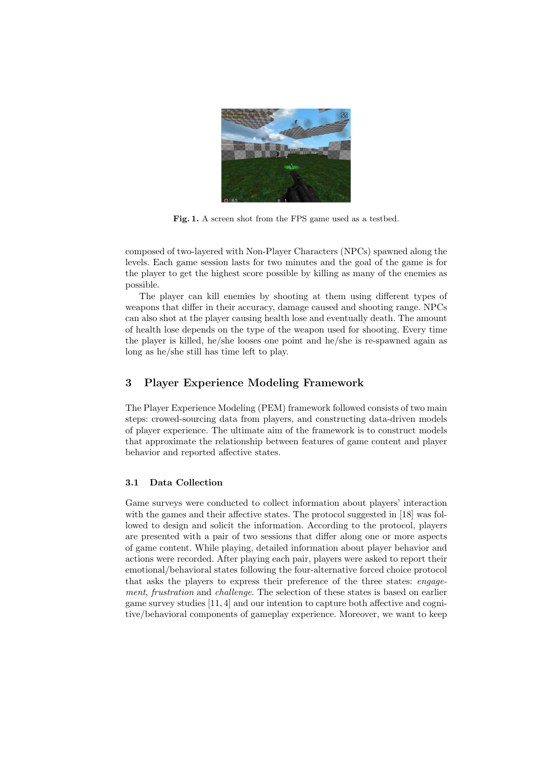

Fig. 1. A screen shot from the FPS game used as a testbed.

composed of two-layered with Non-Player Characters (NPCs) spawned along the levels. Each game session lasts for two minutes and the goal of the game is for the player to get the highest score possible by killing as many of the enemies as possible.

The player can kill enemies by shooting at them using different types of weapons that differ in their accuracy, damage caused and shooting range. NPCs can also shot at the player causing health lose and eventually death. The amount of health lose depends on the type of the weapon used for shooting. Every time the player is killed, he/she looses one point and he/she is re-spawned again as long as he/she still has time left to play.

# 3 Player Experience Modeling Framework

The Player Experience Modeling (PEM) framework followed consists of two main steps: crowed-sourcing data from players, and constructing data-driven models of player experience. The ultimate aim of the framework is to construct models that approximate the relationship between features of game content and player behavior and reported affective states.

## 3.1 Data Collection

Game surveys were conducted to collect information about players' interaction with the games and their affective states. The protocol suggested in [18] was followed to design and solicit the information. According to the protocol, players are presented with a pair of two sessions that differ along one or more aspects of game content. While playing, detailed information about player behavior and actions were recorded. After playing each pair, players were asked to report their emotional/behavioral states following the four-alternative forced choice protocol that asks the players to express their preference of the three states: engagement, frustration and challenge. The selection of these states is based on earlier game survey studies [11, 4] and our intention to capture both affective and cognitive/behavioral components of gameplay experience. Moreover, we want to keep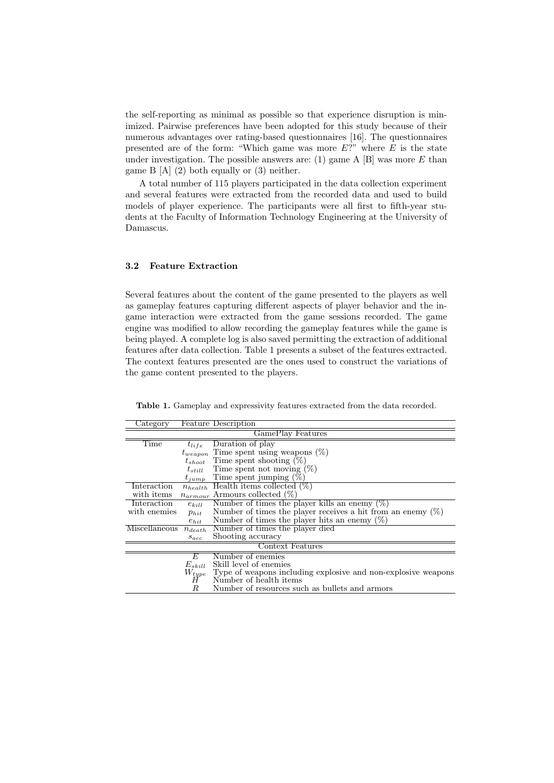the self-reporting as minimal as possible so that experience disruption is minimized. Pairwise preferences have been adopted for this study because of their numerous advantages over rating-based questionnaires [16]. The questionnaires presented are of the form: "Which game was more  $E$ ?" where  $E$  is the state under investigation. The possible answers are: (1) game  $A$  [B] was more  $E$  than game B [A] (2) both equally or (3) neither.

A total number of 115 players participated in the data collection experiment and several features were extracted from the recorded data and used to build models of player experience. The participants were all first to fifth-year students at the Faculty of Information Technology Engineering at the University of Damascus.

#### 3.2 Feature Extraction

Several features about the content of the game presented to the players as well as gameplay features capturing different aspects of player behavior and the ingame interaction were extracted from the game sessions recorded. The game engine was modified to allow recording the gameplay features while the game is being played. A complete log is also saved permitting the extraction of additional features after data collection. Table 1 presents a subset of the features extracted. The context features presented are the ones used to construct the variations of the game content presented to the players.

| Category          |              | <b>Feature Description</b>                                     |  |  |  |
|-------------------|--------------|----------------------------------------------------------------|--|--|--|
| GamePlay Features |              |                                                                |  |  |  |
| Time              | $t_{life}$   | Duration of play                                               |  |  |  |
|                   | $t_{weapon}$ | Time spent using weapons $(\%)$                                |  |  |  |
|                   | $t_{shoot}$  | Time spent shooting $(\%)$                                     |  |  |  |
|                   | $t_{still}$  | Time spent not moving $(\%)$                                   |  |  |  |
|                   | $t_{jump}$   | Time spent jumping $(\%)$                                      |  |  |  |
| Interaction       | $n_{health}$ | Health items collected $(\%)$                                  |  |  |  |
| with items        | $n_{armour}$ | Armours collected $(\%)$                                       |  |  |  |
| Interaction       | $e_{kill}$   | Number of times the player kills an enemy $(\%)$               |  |  |  |
| with enemies      | $p_{hit}$    | Number of times the player receives a hit from an enemy $(\%)$ |  |  |  |
|                   | $e_{hit}$    | Number of times the player hits an enemy $(\%)$                |  |  |  |
| Miscellaneous     | $n_{death}$  | Number of times the player died                                |  |  |  |
|                   | $s_{acc}$    | Shooting accuracy                                              |  |  |  |
| Context Features  |              |                                                                |  |  |  |
|                   | E            | Number of enemies                                              |  |  |  |
|                   | $E_{skill}$  | Skill level of enemies                                         |  |  |  |
|                   | $W_{type}$   | Type of weapons including explosive and non-explosive weapons  |  |  |  |
|                   | Η            | Number of health items                                         |  |  |  |
|                   | R            | Number of resources such as bullets and armors                 |  |  |  |

Table 1. Gameplay and expressivity features extracted from the data recorded.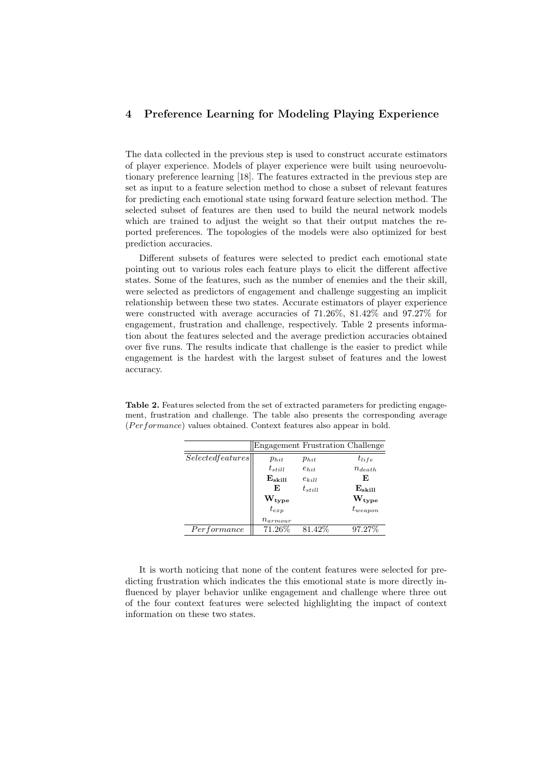# 4 Preference Learning for Modeling Playing Experience

The data collected in the previous step is used to construct accurate estimators of player experience. Models of player experience were built using neuroevolutionary preference learning [18]. The features extracted in the previous step are set as input to a feature selection method to chose a subset of relevant features for predicting each emotional state using forward feature selection method. The selected subset of features are then used to build the neural network models which are trained to adjust the weight so that their output matches the reported preferences. The topologies of the models were also optimized for best prediction accuracies.

Different subsets of features were selected to predict each emotional state pointing out to various roles each feature plays to elicit the different affective states. Some of the features, such as the number of enemies and the their skill, were selected as predictors of engagement and challenge suggesting an implicit relationship between these two states. Accurate estimators of player experience were constructed with average accuracies of 71.26%, 81.42% and 97.27% for engagement, frustration and challenge, respectively. Table 2 presents information about the features selected and the average prediction accuracies obtained over five runs. The results indicate that challenge is the easier to predict while engagement is the hardest with the largest subset of features and the lowest accuracy.

|                   | <b>Engagement Frustration Challenge</b> |             |                 |
|-------------------|-----------------------------------------|-------------|-----------------|
| Selected features | $p_{hit}$                               | $p_{hit}$   | $t_{life}$      |
|                   | $t_{still}$                             | $e_{hit}$   | $n_{death}$     |
|                   | $E_{\rm skill}$                         | $e_{kill}$  | E               |
|                   | F,                                      | $t_{still}$ | $E_{\rm skill}$ |
|                   | $\rm W_{type}$                          |             | $\rm W_{type}$  |
|                   | $t_{exp}$                               |             | $t_{weapon}$    |
|                   | $n_{armour}$                            |             |                 |
| Performance       | 71.26%                                  | 81.42\%     | 97.27%          |

Table 2. Features selected from the set of extracted parameters for predicting engagement, frustration and challenge. The table also presents the corresponding average  $(Performance)$  values obtained. Context features also appear in bold.

It is worth noticing that none of the content features were selected for predicting frustration which indicates the this emotional state is more directly influenced by player behavior unlike engagement and challenge where three out of the four context features were selected highlighting the impact of context information on these two states.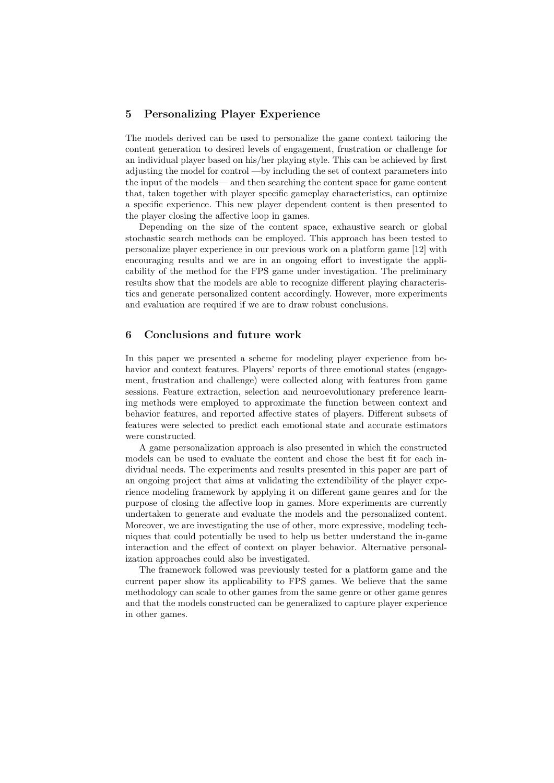# 5 Personalizing Player Experience

The models derived can be used to personalize the game context tailoring the content generation to desired levels of engagement, frustration or challenge for an individual player based on his/her playing style. This can be achieved by first adjusting the model for control —by including the set of context parameters into the input of the models— and then searching the content space for game content that, taken together with player specific gameplay characteristics, can optimize a specific experience. This new player dependent content is then presented to the player closing the affective loop in games.

Depending on the size of the content space, exhaustive search or global stochastic search methods can be employed. This approach has been tested to personalize player experience in our previous work on a platform game [12] with encouraging results and we are in an ongoing effort to investigate the applicability of the method for the FPS game under investigation. The preliminary results show that the models are able to recognize different playing characteristics and generate personalized content accordingly. However, more experiments and evaluation are required if we are to draw robust conclusions.

## 6 Conclusions and future work

In this paper we presented a scheme for modeling player experience from behavior and context features. Players' reports of three emotional states (engagement, frustration and challenge) were collected along with features from game sessions. Feature extraction, selection and neuroevolutionary preference learning methods were employed to approximate the function between context and behavior features, and reported affective states of players. Different subsets of features were selected to predict each emotional state and accurate estimators were constructed.

A game personalization approach is also presented in which the constructed models can be used to evaluate the content and chose the best fit for each individual needs. The experiments and results presented in this paper are part of an ongoing project that aims at validating the extendibility of the player experience modeling framework by applying it on different game genres and for the purpose of closing the affective loop in games. More experiments are currently undertaken to generate and evaluate the models and the personalized content. Moreover, we are investigating the use of other, more expressive, modeling techniques that could potentially be used to help us better understand the in-game interaction and the effect of context on player behavior. Alternative personalization approaches could also be investigated.

The framework followed was previously tested for a platform game and the current paper show its applicability to FPS games. We believe that the same methodology can scale to other games from the same genre or other game genres and that the models constructed can be generalized to capture player experience in other games.